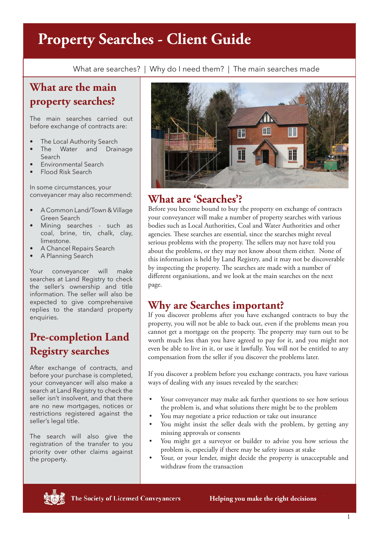# **Property Searches - Client Guide**

What are searches? | Why do I need them? | The main searches made

# **What are the main property searches?**

The main searches carried out before exchange of contracts are:

- The Local Authority Search
- The Water and Drainage Search
- Environmental Search
- Flood Risk Search

In some circumstances, your conveyancer may also recommend:

- A Common Land/Town & Village Green Search
- Mining searches such as coal, brine, tin, chalk, clay, limestone.
- A Chancel Repairs Search
- A Planning Search

Your conveyancer will make searches at Land Registry to check the seller's ownership and title information. The seller will also be expected to give comprehensive replies to the standard property enquiries.

# **Pre-completion Land Registry searches**

After exchange of contracts, and before your purchase is completed, your conveyancer will also make a search at Land Registry to check the seller isn't insolvent, and that there are no new mortgages, notices or restrictions registered against the seller's legal title.

The search will also give the registration of the transfer to you priority over other claims against the property.



## **What are 'Searches'?**

Before you become bound to buy the property on exchange of contracts your conveyancer will make a number of property searches with various bodies such as Local Authorities, Coal and Water Authorities and other agencies. These searches are essential, since the searches might reveal serious problems with the property. The sellers may not have told you about the problems, or they may not know about them either. None of this information is held by Land Registry, and it may not be discoverable by inspecting the property. The searches are made with a number of different organisations, and we look at the main searches on the next page.

### **Why are Searches important?**

If you discover problems after you have exchanged contracts to buy the property, you will not be able to back out, even if the problems mean you cannot get a mortgage on the property. The property may turn out to be worth much less than you have agreed to pay for it, and you might not even be able to live in it, or use it lawfully. You will not be entitled to any compensation from the seller if you discover the problems later.

If you discover a problem before you exchange contracts, you have various ways of dealing with any issues revealed by the searches:

- Your conveyancer may make ask further questions to see how serious the problem is, and what solutions there might be to the problem
- You may negotiate a price reduction or take out insurance
- You might insist the seller deals with the problem, by getting any missing approvals or consents
- You might get a surveyor or builder to advise you how serious the problem is, especially if there may be safety issues at stake
- Your, or your lender, might decide the property is unacceptable and withdraw from the transaction